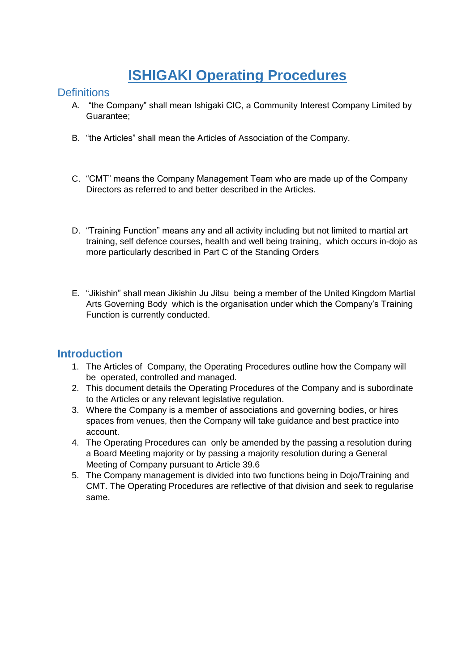# **ISHIGAKI Operating Procedures**

### **Definitions**

- A. "the Company" shall mean Ishigaki CIC, a Community Interest Company Limited by Guarantee;
- B. "the Articles" shall mean the Articles of Association of the Company.
- C. "CMT" means the Company Management Team who are made up of the Company Directors as referred to and better described in the Articles.
- D. "Training Function" means any and all activity including but not limited to martial art training, self defence courses, health and well being training, which occurs in-dojo as more particularly described in Part C of the Standing Orders
- E. "Jikishin" shall mean Jikishin Ju Jitsu being a member of the United Kingdom Martial Arts Governing Body which is the organisation under which the Company's Training Function is currently conducted.

### **Introduction**

- 1. The Articles of Company, the Operating Procedures outline how the Company will be operated, controlled and managed.
- 2. This document details the Operating Procedures of the Company and is subordinate to the Articles or any relevant legislative regulation.
- 3. Where the Company is a member of associations and governing bodies, or hires spaces from venues, then the Company will take guidance and best practice into account.
- 4. The Operating Procedures can only be amended by the passing a resolution during a Board Meeting majority or by passing a majority resolution during a General Meeting of Company pursuant to Article 39.6
- 5. The Company management is divided into two functions being in Dojo/Training and CMT. The Operating Procedures are reflective of that division and seek to regularise same.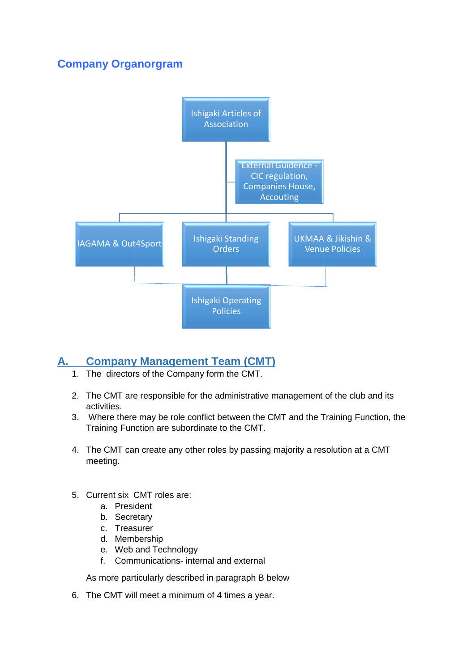# **Company Organorgram**



# **A. Company Management Team (CMT)**

- 1. The directors of the Company form the CMT.
- 2. The CMT are responsible for the administrative management of the club and its activities.
- 3. Where there may be role conflict between the CMT and the Training Function, the Training Function are subordinate to the CMT.
- 4. The CMT can create any other roles by passing majority a resolution at a CMT meeting.
- 5. Current six CMT roles are:
	- a. President
	- b. Secretary
	- c. Treasurer
	- d. Membership
	- e. Web and Technology
	- f. Communications- internal and external

As more particularly described in paragraph B below

6. The CMT will meet a minimum of 4 times a year.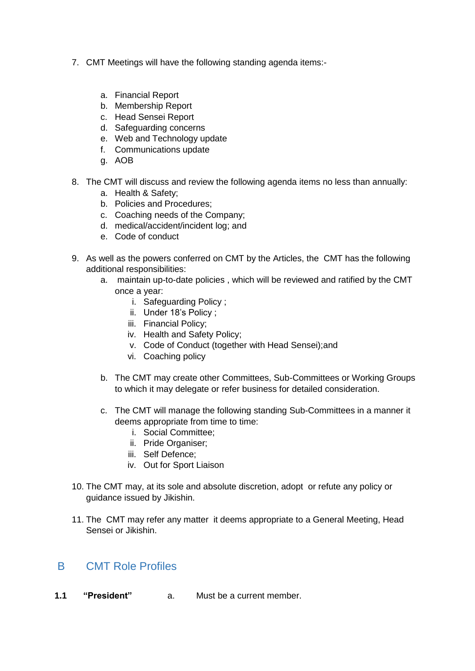- 7. CMT Meetings will have the following standing agenda items:
	- a. Financial Report
	- b. Membership Report
	- c. Head Sensei Report
	- d. Safeguarding concerns
	- e. Web and Technology update
	- f. Communications update
	- g. AOB
- 8. The CMT will discuss and review the following agenda items no less than annually:
	- a. Health & Safety;
	- b. Policies and Procedures;
	- c. Coaching needs of the Company;
	- d. medical/accident/incident log; and
	- e. Code of conduct
- 9. As well as the powers conferred on CMT by the Articles, the CMT has the following additional responsibilities:
	- a. maintain up-to-date policies , which will be reviewed and ratified by the CMT once a year:
		- i. Safeguarding Policy ;
		- ii. Under 18's Policy ;
		- iii. Financial Policy;
		- iv. Health and Safety Policy;
		- v. Code of Conduct (together with Head Sensei);and
		- vi. Coaching policy
	- b. The CMT may create other Committees, Sub-Committees or Working Groups to which it may delegate or refer business for detailed consideration.
	- c. The CMT will manage the following standing Sub-Committees in a manner it deems appropriate from time to time:
		- i. Social Committee;
		- ii. Pride Organiser;
		- iii. Self Defence;
		- iv. Out for Sport Liaison
- 10. The CMT may, at its sole and absolute discretion, adopt or refute any policy or guidance issued by Jikishin.
- 11. The CMT may refer any matter it deems appropriate to a General Meeting, Head Sensei or Jikishin.

### B CMT Role Profiles

**1.1 "President"** a. Must be a current member.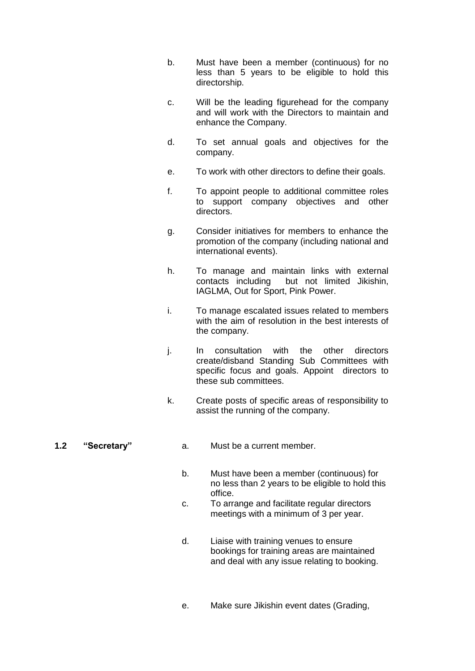- b. Must have been a member (continuous) for no less than 5 years to be eligible to hold this directorship.
- c. Will be the leading figurehead for the company and will work with the Directors to maintain and enhance the Company.
- d. To set annual goals and objectives for the company.
- e. To work with other directors to define their goals.
- f. To appoint people to additional committee roles to support company objectives and other directors.
- g. Consider initiatives for members to enhance the promotion of the company (including national and international events).
- h. To manage and maintain links with external contacts including but not limited Jikishin, IAGLMA, Out for Sport, Pink Power.
- i. To manage escalated issues related to members with the aim of resolution in the best interests of the company.
- j. In consultation with the other directors create/disband Standing Sub Committees with specific focus and goals. Appoint directors to these sub committees.
- k. Create posts of specific areas of responsibility to assist the running of the company.

- **1.2 "Secretary"** a. Must be a current member.
	- b. Must have been a member (continuous) for no less than 2 years to be eligible to hold this office.
	- c. To arrange and facilitate regular directors meetings with a minimum of 3 per year.
	- d. Liaise with training venues to ensure bookings for training areas are maintained and deal with any issue relating to booking.
	- e. Make sure Jikishin event dates (Grading,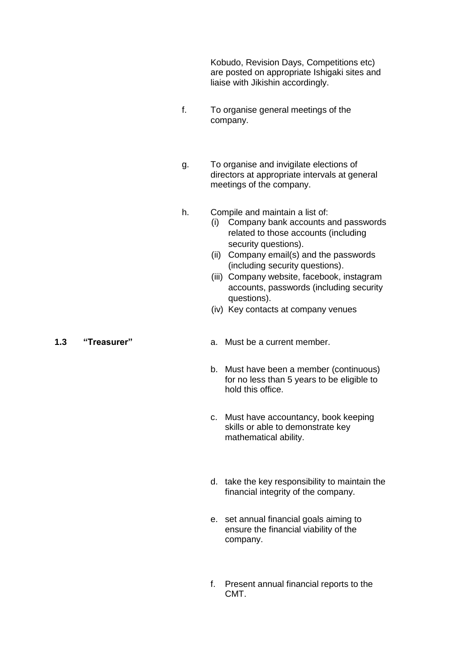Kobudo, Revision Days, Competitions etc) are posted on appropriate Ishigaki sites and liaise with Jikishin accordingly.

- f. To organise general meetings of the company.
- g. To organise and invigilate elections of directors at appropriate intervals at general meetings of the company.
- h. Compile and maintain a list of:
	- (i) Company bank accounts and passwords related to those accounts (including security questions).
	- (ii) Company email(s) and the passwords (including security questions).
	- (iii) Company website, facebook, instagram accounts, passwords (including security questions).
	- (iv) Key contacts at company venues

- **1.3 "Treasurer"** a. Must be a current member.
	- b. Must have been a member (continuous) for no less than 5 years to be eligible to hold this office.
	- c. Must have accountancy, book keeping skills or able to demonstrate key mathematical ability.
	- d. take the key responsibility to maintain the financial integrity of the company.
	- e. set annual financial goals aiming to ensure the financial viability of the company.
	- f. Present annual financial reports to the CMT.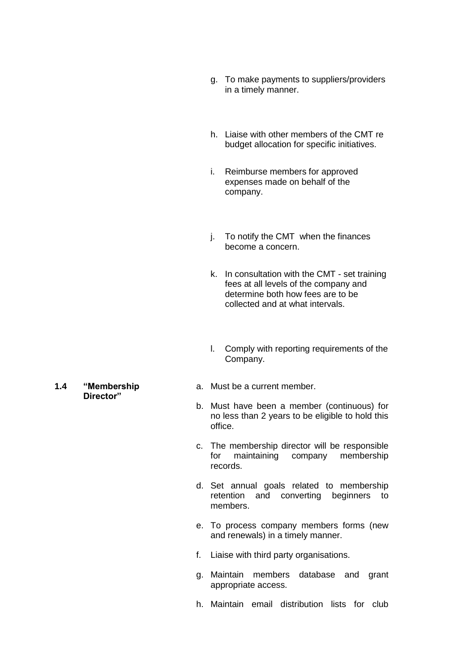- g. To make payments to suppliers/providers in a timely manner.
- h. Liaise with other members of the CMT re budget allocation for specific initiatives.
- i. Reimburse members for approved expenses made on behalf of the company.
- j. To notify the CMT when the finances become a concern.
- k. In consultation with the CMT set training fees at all levels of the company and determine both how fees are to be collected and at what intervals.
- l. Comply with reporting requirements of the Company.
- a. Must be a current member.
- b. Must have been a member (continuous) for no less than 2 years to be eligible to hold this office.
- c. The membership director will be responsible for maintaining company membership records.
- d. Set annual goals related to membership retention and converting beginners to members.
- e. To process company members forms (new and renewals) in a timely manner.
- f. Liaise with third party organisations.
- g. Maintain members database and grant appropriate access.
- h. Maintain email distribution lists for club

**1.4 "Membership Director"**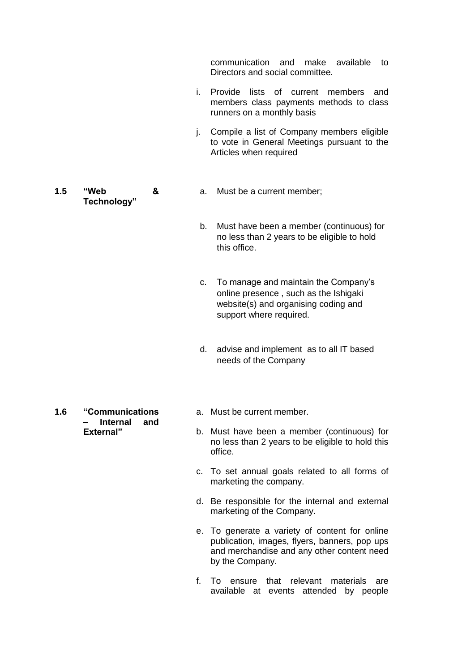communication and make available to Directors and social committee.

- i. Provide lists of current members and members class payments methods to class runners on a monthly basis
- j. Compile a list of Company members eligible to vote in General Meetings pursuant to the Articles when required
- **1.5 "Web & Technology"**
- a. Must be a current member;
- b. Must have been a member (continuous) for no less than 2 years to be eligible to hold this office.
- c. To manage and maintain the Company's online presence , such as the Ishigaki website(s) and organising coding and support where required.
- d. advise and implement as to all IT based needs of the Company
- **1.6 "Communications – Internal and External"**
- a. Must be current member.
- b. Must have been a member (continuous) for no less than 2 years to be eligible to hold this office.
- c. To set annual goals related to all forms of marketing the company.
- d. Be responsible for the internal and external marketing of the Company.
- e. To generate a variety of content for online publication, images, flyers, banners, pop ups and merchandise and any other content need by the Company.
- f. To ensure that relevant materials are available at events attended by people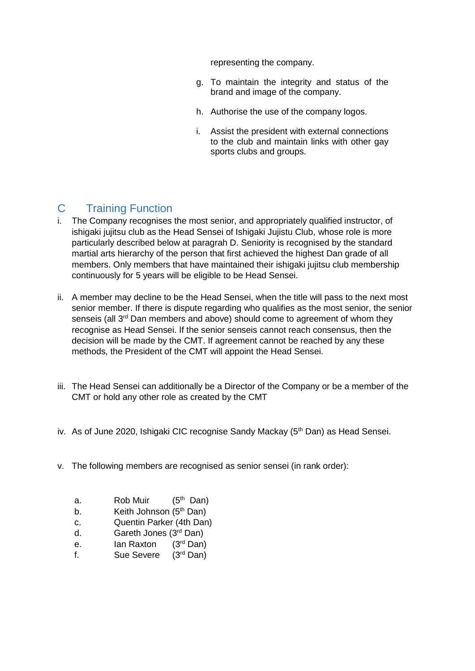representing the company.

- g. To maintain the integrity and status of the brand and image of the company.
- h. Authorise the use of the company logos.
- i. Assist the president with external connections to the club and maintain links with other gay sports clubs and groups.

# C Training Function

- i. The Company recognises the most senior, and appropriately qualified instructor, of ishigaki jujitsu club as the Head Sensei of Ishigaki Jujistu Club, whose role is more particularly described below at paragrah D. Seniority is recognised by the standard martial arts hierarchy of the person that first achieved the highest Dan grade of all members. Only members that have maintained their ishigaki jujitsu club membership continuously for 5 years will be eligible to be Head Sensei.
- ii. A member may decline to be the Head Sensei, when the title will pass to the next most senior member. If there is dispute regarding who qualifies as the most senior, the senior senseis (all 3<sup>rd</sup> Dan members and above) should come to agreement of whom they recognise as Head Sensei. If the senior senseis cannot reach consensus, then the decision will be made by the CMT. If agreement cannot be reached by any these methods, the President of the CMT will appoint the Head Sensei.
- iii. The Head Sensei can additionally be a Director of the Company or be a member of the CMT or hold any other role as created by the CMT
- iv. As of June 2020, Ishigaki CIC recognise Sandy Mackay (5<sup>th</sup> Dan) as Head Sensei.
- v. The following members are recognised as senior sensei (in rank order):
	- a. Rob Muir  $(5<sup>th</sup>$  Dan)
	- b. Keith Johnson (5<sup>th</sup> Dan)
	- c. Quentin Parker (4th Dan)
	- d. Gareth Jones (3rd Dan)
	- e. Ian Raxton (3<sup>rd</sup> Dan)
	- f. Sue Severe (3rd Dan)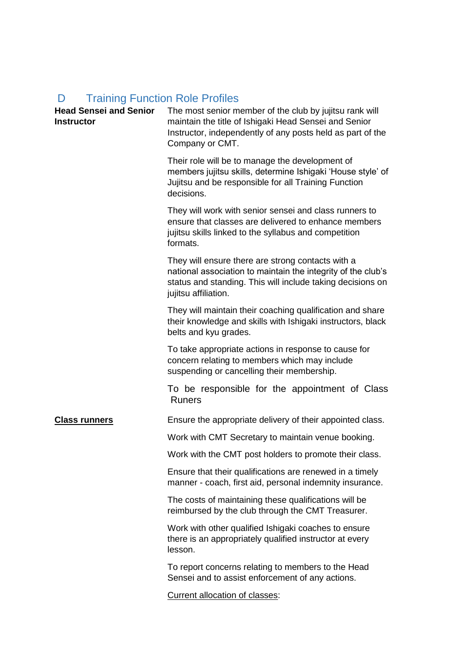# D Training Function Role Profiles

| <b>Head Sensei and Senior</b><br><b>Instructor</b> | The most senior member of the club by jujitsu rank will<br>maintain the title of Ishigaki Head Sensei and Senior<br>Instructor, independently of any posts held as part of the<br>Company or CMT.       |
|----------------------------------------------------|---------------------------------------------------------------------------------------------------------------------------------------------------------------------------------------------------------|
|                                                    | Their role will be to manage the development of<br>members jujitsu skills, determine Ishigaki 'House style' of<br>Jujitsu and be responsible for all Training Function<br>decisions.                    |
|                                                    | They will work with senior sensei and class runners to<br>ensure that classes are delivered to enhance members<br>jujitsu skills linked to the syllabus and competition<br>formats.                     |
|                                                    | They will ensure there are strong contacts with a<br>national association to maintain the integrity of the club's<br>status and standing. This will include taking decisions on<br>jujitsu affiliation. |
|                                                    | They will maintain their coaching qualification and share<br>their knowledge and skills with Ishigaki instructors, black<br>belts and kyu grades.                                                       |
|                                                    | To take appropriate actions in response to cause for<br>concern relating to members which may include<br>suspending or cancelling their membership.                                                     |
|                                                    | To be responsible for the appointment of Class<br><b>Runers</b>                                                                                                                                         |
| <b>Class runners</b>                               | Ensure the appropriate delivery of their appointed class.                                                                                                                                               |
|                                                    | Work with CMT Secretary to maintain venue booking.                                                                                                                                                      |
|                                                    | Work with the CMT post holders to promote their class.                                                                                                                                                  |
|                                                    | Ensure that their qualifications are renewed in a timely<br>manner - coach, first aid, personal indemnity insurance.                                                                                    |
|                                                    | The costs of maintaining these qualifications will be<br>reimbursed by the club through the CMT Treasurer.                                                                                              |
|                                                    | Work with other qualified Ishigaki coaches to ensure<br>there is an appropriately qualified instructor at every<br>lesson.                                                                              |
|                                                    | To report concerns relating to members to the Head<br>Sensei and to assist enforcement of any actions.                                                                                                  |
|                                                    | Current allocation of classes:                                                                                                                                                                          |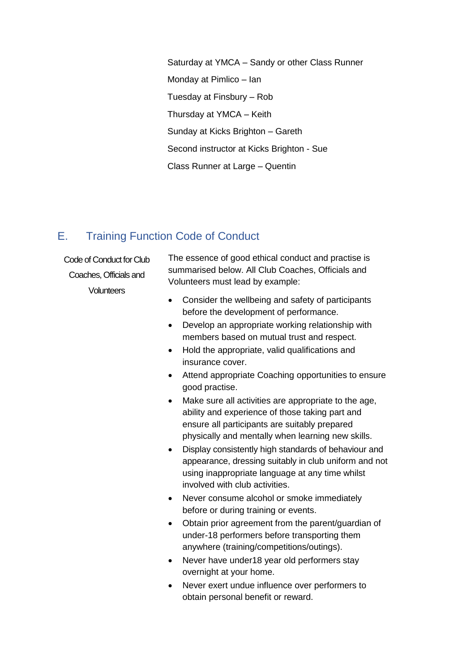Saturday at YMCA – Sandy or other Class Runner Monday at Pimlico – Ian Tuesday at Finsbury – Rob Thursday at YMCA – Keith Sunday at Kicks Brighton – Gareth Second instructor at Kicks Brighton - Sue Class Runner at Large – Quentin

# E. Training Function Code of Conduct

Code of Conduct for Club Coaches, Officials and **Volunteers** 

The essence of good ethical conduct and practise is summarised below. All Club Coaches, Officials and Volunteers must lead by example:

- Consider the wellbeing and safety of participants before the development of performance.
- Develop an appropriate working relationship with members based on mutual trust and respect.
- Hold the appropriate, valid qualifications and insurance cover.
- Attend appropriate Coaching opportunities to ensure good practise.
- Make sure all activities are appropriate to the age, ability and experience of those taking part and ensure all participants are suitably prepared physically and mentally when learning new skills.
- Display consistently high standards of behaviour and appearance, dressing suitably in club uniform and not using inappropriate language at any time whilst involved with club activities.
- Never consume alcohol or smoke immediately before or during training or events.
- Obtain prior agreement from the parent/guardian of under-18 performers before transporting them anywhere (training/competitions/outings).
- Never have under 18 year old performers stay overnight at your home.
- Never exert undue influence over performers to obtain personal benefit or reward.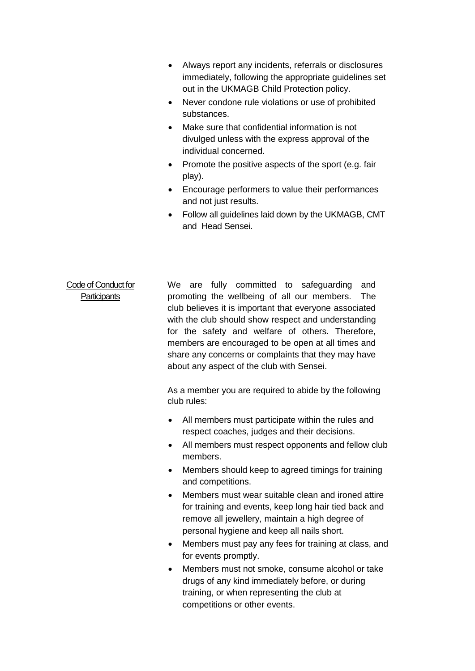- Always report any incidents, referrals or disclosures immediately, following the appropriate guidelines set out in the UKMAGB Child Protection policy.
- Never condone rule violations or use of prohibited substances.
- Make sure that confidential information is not divulged unless with the express approval of the individual concerned.
- Promote the positive aspects of the sport (e.g. fair play).
- Encourage performers to value their performances and not just results.
- Follow all guidelines laid down by the UKMAGB, CMT and Head Sensei.

### Code of Conduct for **Participants** We are fully committed to safeguarding and promoting the wellbeing of all our members. The club believes it is important that everyone associated with the club should show respect and understanding for the safety and welfare of others. Therefore, members are encouraged to be open at all times and share any concerns or complaints that they may have about any aspect of the club with Sensei.

As a member you are required to abide by the following club rules:

- All members must participate within the rules and respect coaches, judges and their decisions.
- All members must respect opponents and fellow club members.
- Members should keep to agreed timings for training and competitions.
- Members must wear suitable clean and ironed attire for training and events, keep long hair tied back and remove all jewellery, maintain a high degree of personal hygiene and keep all nails short.
- Members must pay any fees for training at class, and for events promptly.
- Members must not smoke, consume alcohol or take drugs of any kind immediately before, or during training, or when representing the club at competitions or other events.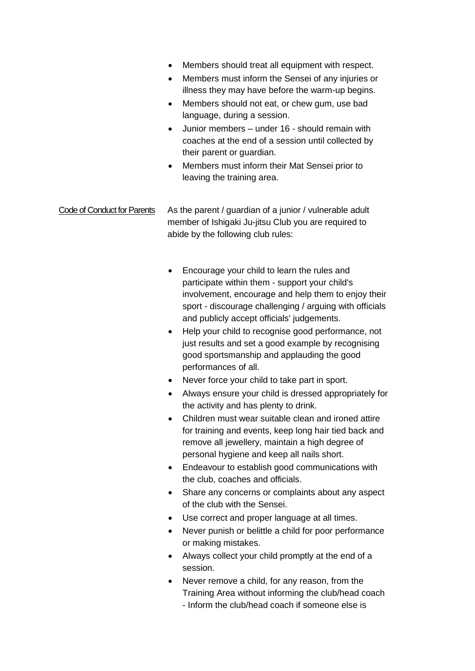- Members should treat all equipment with respect.
- Members must inform the Sensei of any injuries or illness they may have before the warm-up begins.
- Members should not eat, or chew gum, use bad language, during a session.
- Junior members under 16 should remain with coaches at the end of a session until collected by their parent or guardian.
- Members must inform their Mat Sensei prior to leaving the training area.

### Code of Conduct for Parents As the parent / guardian of a junior / vulnerable adult member of Ishigaki Ju-jitsu Club you are required to abide by the following club rules:

- Encourage your child to learn the rules and participate within them - support your child's involvement, encourage and help them to enjoy their sport - discourage challenging / arguing with officials and publicly accept officials' judgements.
- Help your child to recognise good performance, not just results and set a good example by recognising good sportsmanship and applauding the good performances of all.
- Never force your child to take part in sport.
- Always ensure your child is dressed appropriately for the activity and has plenty to drink.
- Children must wear suitable clean and ironed attire for training and events, keep long hair tied back and remove all jewellery, maintain a high degree of personal hygiene and keep all nails short.
- Endeavour to establish good communications with the club, coaches and officials.
- Share any concerns or complaints about any aspect of the club with the Sensei.
- Use correct and proper language at all times.
- Never punish or belittle a child for poor performance or making mistakes.
- Always collect your child promptly at the end of a session.
- Never remove a child, for any reason, from the Training Area without informing the club/head coach - Inform the club/head coach if someone else is